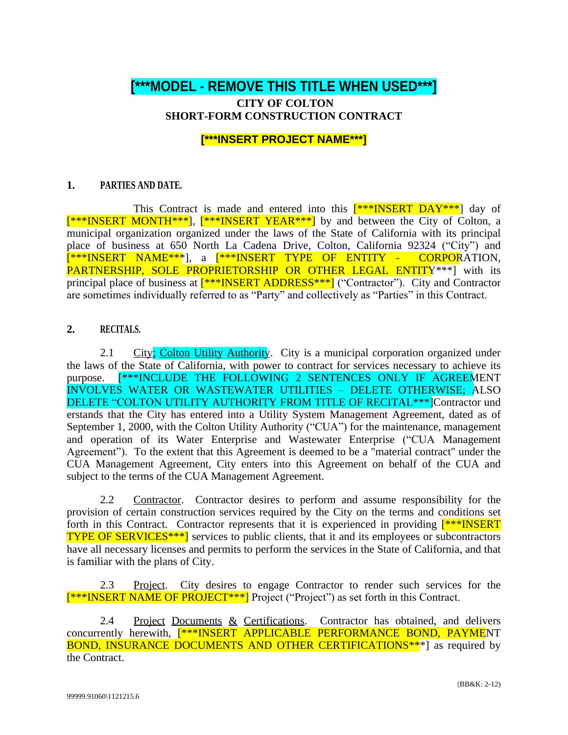# **[\*\*\*MODEL - REMOVE THIS TITLE WHEN USED\*\*\*]**

# **CITY OF COLTON SHORT-FORM CONSTRUCTION CONTRACT**

# **[\*\*\*INSERT PROJECT NAME\*\*\*]**

### **1. PARTIES AND DATE.**

This Contract is made and entered into this  $\frac{\mathbf{r}^* \cdot \mathbf{N} \cdot \mathbf{S}^T \cdot \mathbf{R}}{|\mathbf{S}^T \cdot \mathbf{S}^T \cdot \mathbf{S}^T \cdot \mathbf{S}^T \cdot \mathbf{S}^T \cdot \mathbf{S}^T \cdot \mathbf{S}^T \cdot \mathbf{S}^T \cdot \mathbf{S}^T \cdot \mathbf{S}^T \cdot \mathbf{S}^T \cdot \mathbf{S}^T \cdot \mathbf{S}^T \cdot \mathbf{S}^T \$ [\*\*\*INSERT MONTH\*\*\*], [\*\*\*INSERT YEAR\*\*\*] by and between the City of Colton, a municipal organization organized under the laws of the State of California with its principal place of business at 650 North La Cadena Drive, Colton, California 92324 ("City") and [\*\*\*INSERT NAME\*\*\*], a [\*\*\*INSERT TYPE OF ENTITY - CORPORATION, PARTNERSHIP, SOLE PROPRIETORSHIP OR OTHER LEGAL ENTITY\*\*\*] with its principal place of business at  $[***\overline{\text{INSERT ADDRES}S***]}$  ("Contractor"). City and Contractor are sometimes individually referred to as "Party" and collectively as "Parties" in this Contract.

### **2. RECITALS.**

2.1 City; Colton Utility Authority. City is a municipal corporation organized under the laws of the State of California, with power to contract for services necessary to achieve its purpose. [\*\*\*INCLUDE THE FOLLOWING 2 SENTENCES ONLY IF AGREEMENT INVOLVES WATER OR WASTEWATER UTILITIES – DELETE OTHERWISE; ALSO DELETE "COLTON UTILITY AUTHORITY FROM TITLE OF RECITAL\*\*\* Contractor und erstands that the City has entered into a Utility System Management Agreement, dated as of September 1, 2000, with the Colton Utility Authority ("CUA") for the maintenance, management and operation of its Water Enterprise and Wastewater Enterprise ("CUA Management Agreement"). To the extent that this Agreement is deemed to be a "material contract" under the CUA Management Agreement, City enters into this Agreement on behalf of the CUA and subject to the terms of the CUA Management Agreement.

2.2 Contractor. Contractor desires to perform and assume responsibility for the provision of certain construction services required by the City on the terms and conditions set forth in this Contract. Contractor represents that it is experienced in providing  $[***]$ INSERT **TYPE OF SERVICES**\*\*\*] services to public clients, that it and its employees or subcontractors have all necessary licenses and permits to perform the services in the State of California, and that is familiar with the plans of City.

2.3 Project. City desires to engage Contractor to render such services for the [\*\*\*INSERT NAME OF PROJECT\*\*\*] Project ("Project") as set forth in this Contract.

2.4 Project Documents & Certifications. Contractor has obtained, and delivers concurrently herewith, **[\*\*\*INSERT APPLICABLE PERFORMANCE BOND, PAYME**NT **BOND, INSURANCE DOCUMENTS AND OTHER CERTIFICATIONS**\*\*<sup>\*</sup>] as required by the Contract.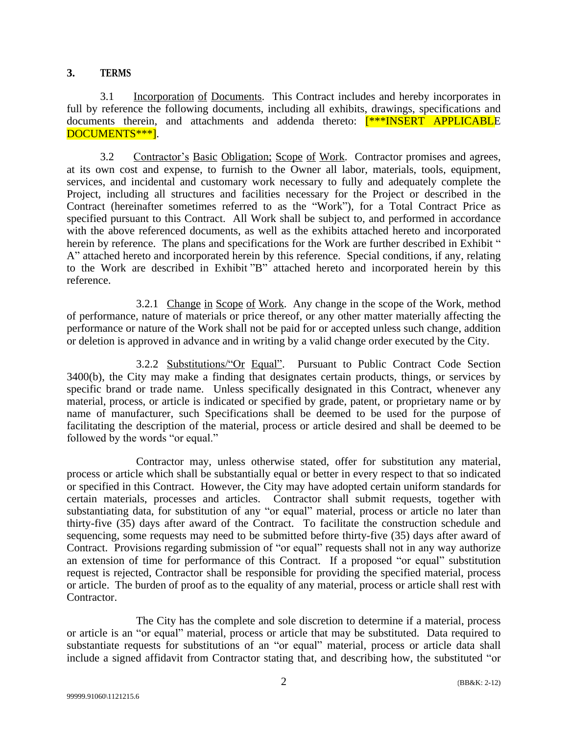#### **3. TERMS**

3.1 Incorporation of Documents. This Contract includes and hereby incorporates in full by reference the following documents, including all exhibits, drawings, specifications and documents therein, and attachments and addenda thereto: [\*\*\*INSERT APPLICABLE DOCUMENTS\*\*\*].

3.2 Contractor's Basic Obligation; Scope of Work. Contractor promises and agrees, at its own cost and expense, to furnish to the Owner all labor, materials, tools, equipment, services, and incidental and customary work necessary to fully and adequately complete the Project, including all structures and facilities necessary for the Project or described in the Contract (hereinafter sometimes referred to as the "Work"), for a Total Contract Price as specified pursuant to this Contract. All Work shall be subject to, and performed in accordance with the above referenced documents, as well as the exhibits attached hereto and incorporated herein by reference. The plans and specifications for the Work are further described in Exhibit " A" attached hereto and incorporated herein by this reference. Special conditions, if any, relating to the Work are described in Exhibit "B" attached hereto and incorporated herein by this reference.

3.2.1 Change in Scope of Work. Any change in the scope of the Work, method of performance, nature of materials or price thereof, or any other matter materially affecting the performance or nature of the Work shall not be paid for or accepted unless such change, addition or deletion is approved in advance and in writing by a valid change order executed by the City.

3.2.2 Substitutions/"Or Equal". Pursuant to Public Contract Code Section 3400(b), the City may make a finding that designates certain products, things, or services by specific brand or trade name. Unless specifically designated in this Contract, whenever any material, process, or article is indicated or specified by grade, patent, or proprietary name or by name of manufacturer, such Specifications shall be deemed to be used for the purpose of facilitating the description of the material, process or article desired and shall be deemed to be followed by the words "or equal."

Contractor may, unless otherwise stated, offer for substitution any material, process or article which shall be substantially equal or better in every respect to that so indicated or specified in this Contract. However, the City may have adopted certain uniform standards for certain materials, processes and articles. Contractor shall submit requests, together with substantiating data, for substitution of any "or equal" material, process or article no later than thirty-five (35) days after award of the Contract. To facilitate the construction schedule and sequencing, some requests may need to be submitted before thirty-five (35) days after award of Contract. Provisions regarding submission of "or equal" requests shall not in any way authorize an extension of time for performance of this Contract. If a proposed "or equal" substitution request is rejected, Contractor shall be responsible for providing the specified material, process or article. The burden of proof as to the equality of any material, process or article shall rest with Contractor.

The City has the complete and sole discretion to determine if a material, process or article is an "or equal" material, process or article that may be substituted. Data required to substantiate requests for substitutions of an "or equal" material, process or article data shall include a signed affidavit from Contractor stating that, and describing how, the substituted "or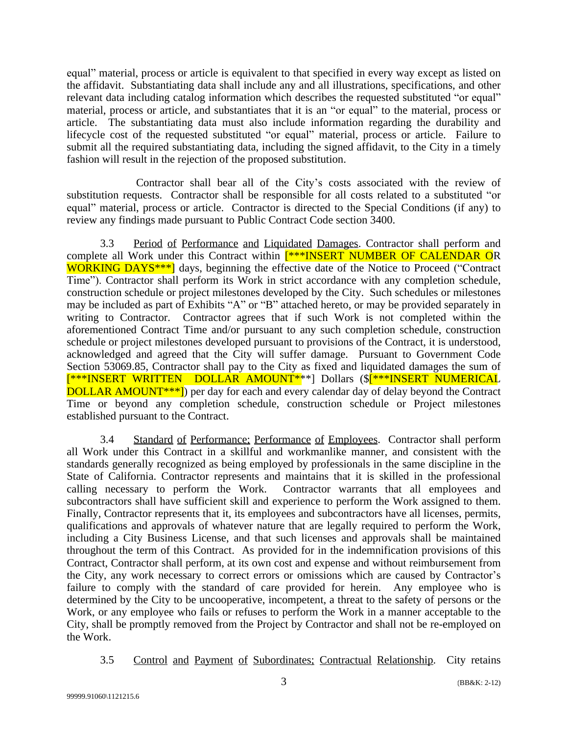equal" material, process or article is equivalent to that specified in every way except as listed on the affidavit. Substantiating data shall include any and all illustrations, specifications, and other relevant data including catalog information which describes the requested substituted "or equal" material, process or article, and substantiates that it is an "or equal" to the material, process or article. The substantiating data must also include information regarding the durability and lifecycle cost of the requested substituted "or equal" material, process or article. Failure to submit all the required substantiating data, including the signed affidavit, to the City in a timely fashion will result in the rejection of the proposed substitution.

Contractor shall bear all of the City's costs associated with the review of substitution requests. Contractor shall be responsible for all costs related to a substituted "or equal" material, process or article. Contractor is directed to the Special Conditions (if any) to review any findings made pursuant to Public Contract Code section 3400.

3.3 Period of Performance and Liquidated Damages. Contractor shall perform and complete all Work under this Contract within [\*\*\*INSERT NUMBER OF CALENDAR OR WORKING DAYS<sup>\*\*\*</sup>] days, beginning the effective date of the Notice to Proceed ("Contract Time"). Contractor shall perform its Work in strict accordance with any completion schedule, construction schedule or project milestones developed by the City. Such schedules or milestones may be included as part of Exhibits "A" or "B" attached hereto, or may be provided separately in writing to Contractor. Contractor agrees that if such Work is not completed within the aforementioned Contract Time and/or pursuant to any such completion schedule, construction schedule or project milestones developed pursuant to provisions of the Contract, it is understood, acknowledged and agreed that the City will suffer damage. Pursuant to Government Code Section 53069.85, Contractor shall pay to the City as fixed and liquidated damages the sum of [\*\*\*INSERT WRITTEN DOLLAR AMOUNT\*\*\*] Dollars (\$<sup>[\*\*\*</sup>INSERT NUMERICAL DOLLAR AMOUNT\*\*\*]) per day for each and every calendar day of delay beyond the Contract Time or beyond any completion schedule, construction schedule or Project milestones established pursuant to the Contract.

3.4 Standard of Performance; Performance of Employees. Contractor shall perform all Work under this Contract in a skillful and workmanlike manner, and consistent with the standards generally recognized as being employed by professionals in the same discipline in the State of California. Contractor represents and maintains that it is skilled in the professional calling necessary to perform the Work. Contractor warrants that all employees and subcontractors shall have sufficient skill and experience to perform the Work assigned to them. Finally, Contractor represents that it, its employees and subcontractors have all licenses, permits, qualifications and approvals of whatever nature that are legally required to perform the Work, including a City Business License, and that such licenses and approvals shall be maintained throughout the term of this Contract. As provided for in the indemnification provisions of this Contract, Contractor shall perform, at its own cost and expense and without reimbursement from the City, any work necessary to correct errors or omissions which are caused by Contractor's failure to comply with the standard of care provided for herein. Any employee who is determined by the City to be uncooperative, incompetent, a threat to the safety of persons or the Work, or any employee who fails or refuses to perform the Work in a manner acceptable to the City, shall be promptly removed from the Project by Contractor and shall not be re-employed on the Work.

3.5 Control and Payment of Subordinates; Contractual Relationship. City retains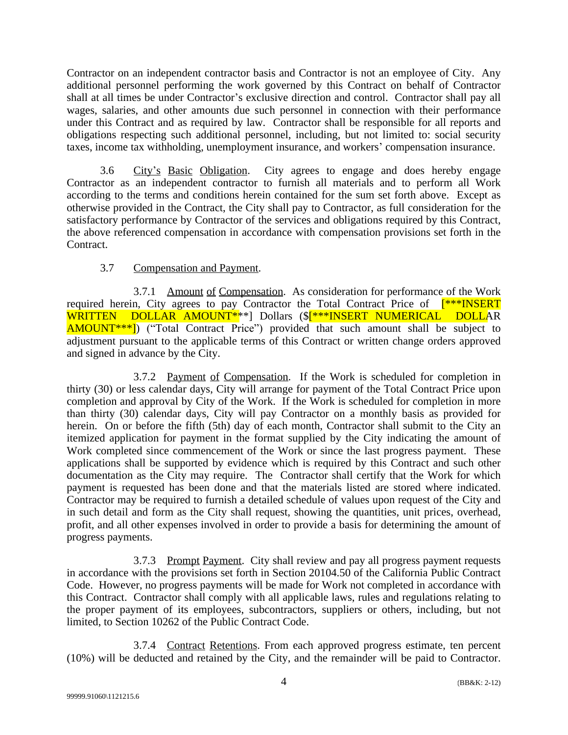Contractor on an independent contractor basis and Contractor is not an employee of City. Any additional personnel performing the work governed by this Contract on behalf of Contractor shall at all times be under Contractor's exclusive direction and control. Contractor shall pay all wages, salaries, and other amounts due such personnel in connection with their performance under this Contract and as required by law. Contractor shall be responsible for all reports and obligations respecting such additional personnel, including, but not limited to: social security taxes, income tax withholding, unemployment insurance, and workers' compensation insurance.

3.6 City's Basic Obligation. City agrees to engage and does hereby engage Contractor as an independent contractor to furnish all materials and to perform all Work according to the terms and conditions herein contained for the sum set forth above. Except as otherwise provided in the Contract, the City shall pay to Contractor, as full consideration for the satisfactory performance by Contractor of the services and obligations required by this Contract, the above referenced compensation in accordance with compensation provisions set forth in the Contract.

# 3.7 Compensation and Payment.

3.7.1 Amount of Compensation. As consideration for performance of the Work required herein, City agrees to pay Contractor the Total Contract Price of  $[***]$  INSERT WRITTEN DOLLAR AMOUNT<sup>\*</sup>\*\*] Dollars (\$<sup>[\*\*\*</sup>INSERT NUMERICAL DOLLAR AMOUNT\*\*\*]) ("Total Contract Price") provided that such amount shall be subject to adjustment pursuant to the applicable terms of this Contract or written change orders approved and signed in advance by the City.

3.7.2 Payment of Compensation. If the Work is scheduled for completion in thirty (30) or less calendar days, City will arrange for payment of the Total Contract Price upon completion and approval by City of the Work. If the Work is scheduled for completion in more than thirty (30) calendar days, City will pay Contractor on a monthly basis as provided for herein. On or before the fifth (5th) day of each month, Contractor shall submit to the City an itemized application for payment in the format supplied by the City indicating the amount of Work completed since commencement of the Work or since the last progress payment. These applications shall be supported by evidence which is required by this Contract and such other documentation as the City may require. The Contractor shall certify that the Work for which payment is requested has been done and that the materials listed are stored where indicated. Contractor may be required to furnish a detailed schedule of values upon request of the City and in such detail and form as the City shall request, showing the quantities, unit prices, overhead, profit, and all other expenses involved in order to provide a basis for determining the amount of progress payments.

3.7.3 Prompt Payment. City shall review and pay all progress payment requests in accordance with the provisions set forth in Section 20104.50 of the California Public Contract Code. However, no progress payments will be made for Work not completed in accordance with this Contract. Contractor shall comply with all applicable laws, rules and regulations relating to the proper payment of its employees, subcontractors, suppliers or others, including, but not limited, to Section 10262 of the Public Contract Code.

3.7.4 Contract Retentions. From each approved progress estimate, ten percent (10%) will be deducted and retained by the City, and the remainder will be paid to Contractor.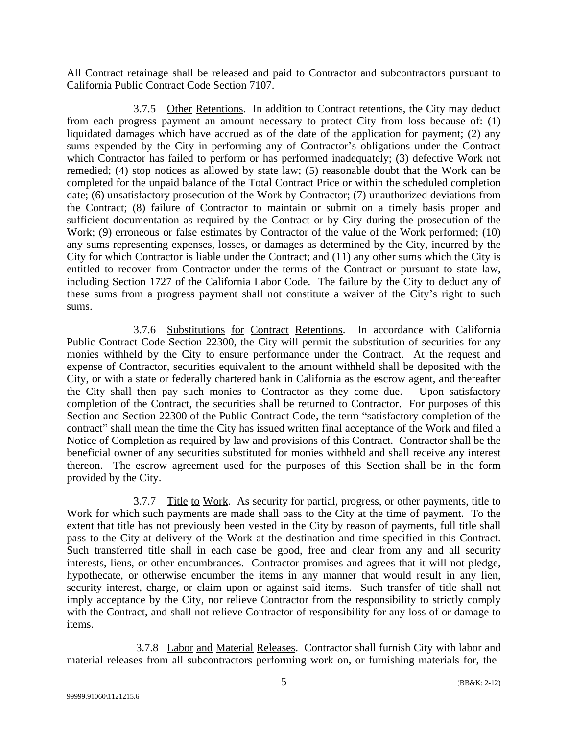All Contract retainage shall be released and paid to Contractor and subcontractors pursuant to California Public Contract Code Section 7107.

3.7.5 Other Retentions. In addition to Contract retentions, the City may deduct from each progress payment an amount necessary to protect City from loss because of: (1) liquidated damages which have accrued as of the date of the application for payment; (2) any sums expended by the City in performing any of Contractor's obligations under the Contract which Contractor has failed to perform or has performed inadequately; (3) defective Work not remedied; (4) stop notices as allowed by state law; (5) reasonable doubt that the Work can be completed for the unpaid balance of the Total Contract Price or within the scheduled completion date; (6) unsatisfactory prosecution of the Work by Contractor; (7) unauthorized deviations from the Contract; (8) failure of Contractor to maintain or submit on a timely basis proper and sufficient documentation as required by the Contract or by City during the prosecution of the Work; (9) erroneous or false estimates by Contractor of the value of the Work performed; (10) any sums representing expenses, losses, or damages as determined by the City, incurred by the City for which Contractor is liable under the Contract; and (11) any other sums which the City is entitled to recover from Contractor under the terms of the Contract or pursuant to state law, including Section 1727 of the California Labor Code. The failure by the City to deduct any of these sums from a progress payment shall not constitute a waiver of the City's right to such sums.

3.7.6 Substitutions for Contract Retentions. In accordance with California Public Contract Code Section 22300, the City will permit the substitution of securities for any monies withheld by the City to ensure performance under the Contract. At the request and expense of Contractor, securities equivalent to the amount withheld shall be deposited with the City, or with a state or federally chartered bank in California as the escrow agent, and thereafter the City shall then pay such monies to Contractor as they come due. Upon satisfactory completion of the Contract, the securities shall be returned to Contractor. For purposes of this Section and Section 22300 of the Public Contract Code, the term "satisfactory completion of the contract" shall mean the time the City has issued written final acceptance of the Work and filed a Notice of Completion as required by law and provisions of this Contract. Contractor shall be the beneficial owner of any securities substituted for monies withheld and shall receive any interest thereon. The escrow agreement used for the purposes of this Section shall be in the form provided by the City.

3.7.7 Title to Work. As security for partial, progress, or other payments, title to Work for which such payments are made shall pass to the City at the time of payment. To the extent that title has not previously been vested in the City by reason of payments, full title shall pass to the City at delivery of the Work at the destination and time specified in this Contract. Such transferred title shall in each case be good, free and clear from any and all security interests, liens, or other encumbrances. Contractor promises and agrees that it will not pledge, hypothecate, or otherwise encumber the items in any manner that would result in any lien, security interest, charge, or claim upon or against said items. Such transfer of title shall not imply acceptance by the City, nor relieve Contractor from the responsibility to strictly comply with the Contract, and shall not relieve Contractor of responsibility for any loss of or damage to items.

3.7.8 Labor and Material Releases. Contractor shall furnish City with labor and material releases from all subcontractors performing work on, or furnishing materials for, the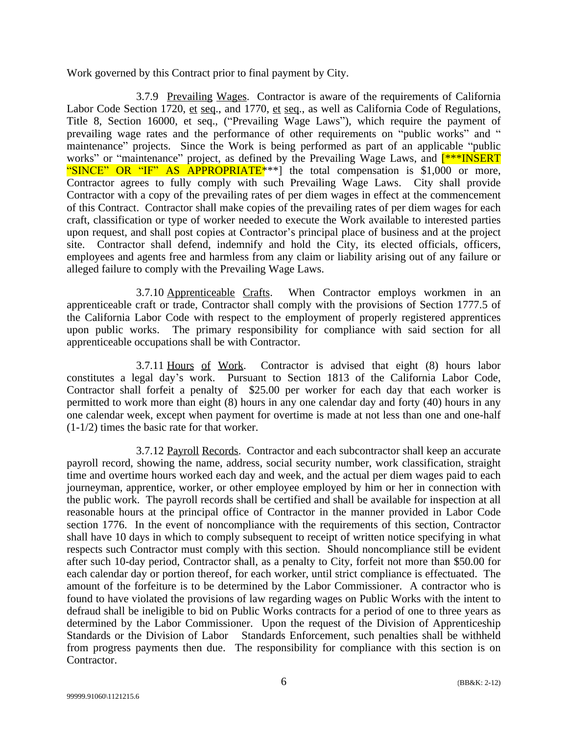Work governed by this Contract prior to final payment by City.

3.7.9 Prevailing Wages. Contractor is aware of the requirements of California Labor Code Section 1720, et seq., and 1770, et seq., as well as California Code of Regulations, Title 8, Section 16000, et seq., ("Prevailing Wage Laws"), which require the payment of prevailing wage rates and the performance of other requirements on "public works" and " maintenance" projects. Since the Work is being performed as part of an applicable "public works" or "maintenance" project, as defined by the Prevailing Wage Laws, and  $\frac{\ast \ast \mathbb{R}}{\mathbb{R}}$ "SINCE" OR "IF" AS APPROPRIATE<sup>\*\*</sup>" the total compensation is \$1,000 or more, Contractor agrees to fully comply with such Prevailing Wage Laws. City shall provide Contractor with a copy of the prevailing rates of per diem wages in effect at the commencement of this Contract. Contractor shall make copies of the prevailing rates of per diem wages for each craft, classification or type of worker needed to execute the Work available to interested parties upon request, and shall post copies at Contractor's principal place of business and at the project site. Contractor shall defend, indemnify and hold the City, its elected officials, officers, employees and agents free and harmless from any claim or liability arising out of any failure or alleged failure to comply with the Prevailing Wage Laws.

3.7.10 Apprenticeable Crafts. When Contractor employs workmen in an apprenticeable craft or trade, Contractor shall comply with the provisions of Section 1777.5 of the California Labor Code with respect to the employment of properly registered apprentices upon public works. The primary responsibility for compliance with said section for all apprenticeable occupations shall be with Contractor.

3.7.11 Hours of Work. Contractor is advised that eight (8) hours labor constitutes a legal day's work. Pursuant to Section 1813 of the California Labor Code, Contractor shall forfeit a penalty of \$25.00 per worker for each day that each worker is permitted to work more than eight (8) hours in any one calendar day and forty (40) hours in any one calendar week, except when payment for overtime is made at not less than one and one-half (1-1/2) times the basic rate for that worker.

3.7.12 Payroll Records. Contractor and each subcontractor shall keep an accurate payroll record, showing the name, address, social security number, work classification, straight time and overtime hours worked each day and week, and the actual per diem wages paid to each journeyman, apprentice, worker, or other employee employed by him or her in connection with the public work. The payroll records shall be certified and shall be available for inspection at all reasonable hours at the principal office of Contractor in the manner provided in Labor Code section 1776. In the event of noncompliance with the requirements of this section, Contractor shall have 10 days in which to comply subsequent to receipt of written notice specifying in what respects such Contractor must comply with this section. Should noncompliance still be evident after such 10-day period, Contractor shall, as a penalty to City, forfeit not more than \$50.00 for each calendar day or portion thereof, for each worker, until strict compliance is effectuated. The amount of the forfeiture is to be determined by the Labor Commissioner. A contractor who is found to have violated the provisions of law regarding wages on Public Works with the intent to defraud shall be ineligible to bid on Public Works contracts for a period of one to three years as determined by the Labor Commissioner. Upon the request of the Division of Apprenticeship Standards or the Division of Labor Standards Enforcement, such penalties shall be withheld from progress payments then due. The responsibility for compliance with this section is on Contractor.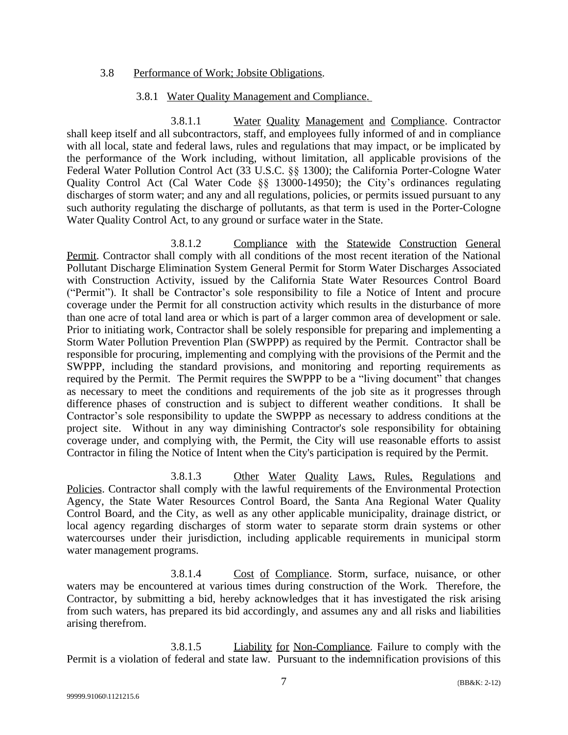#### 3.8 Performance of Work; Jobsite Obligations.

#### 3.8.1 Water Quality Management and Compliance.

3.8.1.1 Water Quality Management and Compliance. Contractor shall keep itself and all subcontractors, staff, and employees fully informed of and in compliance with all local, state and federal laws, rules and regulations that may impact, or be implicated by the performance of the Work including, without limitation, all applicable provisions of the Federal Water Pollution Control Act (33 U.S.C. §§ 1300); the California Porter-Cologne Water Quality Control Act (Cal Water Code §§ 13000-14950); the City's ordinances regulating discharges of storm water; and any and all regulations, policies, or permits issued pursuant to any such authority regulating the discharge of pollutants, as that term is used in the Porter-Cologne Water Quality Control Act, to any ground or surface water in the State.

3.8.1.2 Compliance with the Statewide Construction General Permit. Contractor shall comply with all conditions of the most recent iteration of the National Pollutant Discharge Elimination System General Permit for Storm Water Discharges Associated with Construction Activity, issued by the California State Water Resources Control Board ("Permit"). It shall be Contractor's sole responsibility to file a Notice of Intent and procure coverage under the Permit for all construction activity which results in the disturbance of more than one acre of total land area or which is part of a larger common area of development or sale. Prior to initiating work, Contractor shall be solely responsible for preparing and implementing a Storm Water Pollution Prevention Plan (SWPPP) as required by the Permit. Contractor shall be responsible for procuring, implementing and complying with the provisions of the Permit and the SWPPP, including the standard provisions, and monitoring and reporting requirements as required by the Permit. The Permit requires the SWPPP to be a "living document" that changes as necessary to meet the conditions and requirements of the job site as it progresses through difference phases of construction and is subject to different weather conditions. It shall be Contractor's sole responsibility to update the SWPPP as necessary to address conditions at the project site. Without in any way diminishing Contractor's sole responsibility for obtaining coverage under, and complying with, the Permit, the City will use reasonable efforts to assist Contractor in filing the Notice of Intent when the City's participation is required by the Permit.

3.8.1.3 Other Water Quality Laws, Rules, Regulations and Policies. Contractor shall comply with the lawful requirements of the Environmental Protection Agency, the State Water Resources Control Board, the Santa Ana Regional Water Quality Control Board, and the City, as well as any other applicable municipality, drainage district, or local agency regarding discharges of storm water to separate storm drain systems or other watercourses under their jurisdiction, including applicable requirements in municipal storm water management programs.

3.8.1.4 Cost of Compliance. Storm, surface, nuisance, or other waters may be encountered at various times during construction of the Work. Therefore, the Contractor, by submitting a bid, hereby acknowledges that it has investigated the risk arising from such waters, has prepared its bid accordingly, and assumes any and all risks and liabilities arising therefrom.

3.8.1.5 Liability for Non-Compliance. Failure to comply with the Permit is a violation of federal and state law. Pursuant to the indemnification provisions of this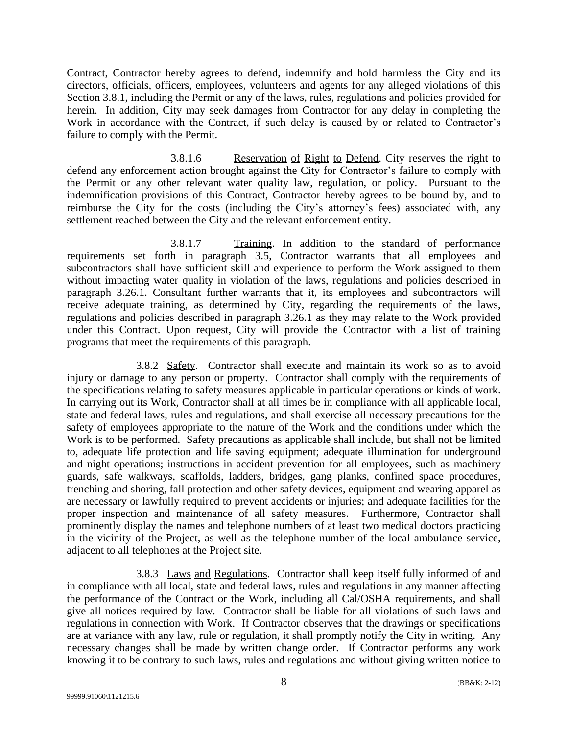Contract, Contractor hereby agrees to defend, indemnify and hold harmless the City and its directors, officials, officers, employees, volunteers and agents for any alleged violations of this Section 3.8.1, including the Permit or any of the laws, rules, regulations and policies provided for herein. In addition, City may seek damages from Contractor for any delay in completing the Work in accordance with the Contract, if such delay is caused by or related to Contractor's failure to comply with the Permit.

3.8.1.6 Reservation of Right to Defend. City reserves the right to defend any enforcement action brought against the City for Contractor's failure to comply with the Permit or any other relevant water quality law, regulation, or policy. Pursuant to the indemnification provisions of this Contract, Contractor hereby agrees to be bound by, and to reimburse the City for the costs (including the City's attorney's fees) associated with, any settlement reached between the City and the relevant enforcement entity.

3.8.1.7 Training. In addition to the standard of performance requirements set forth in paragraph 3.5, Contractor warrants that all employees and subcontractors shall have sufficient skill and experience to perform the Work assigned to them without impacting water quality in violation of the laws, regulations and policies described in paragraph 3.26.1. Consultant further warrants that it, its employees and subcontractors will receive adequate training, as determined by City, regarding the requirements of the laws, regulations and policies described in paragraph 3.26.1 as they may relate to the Work provided under this Contract. Upon request, City will provide the Contractor with a list of training programs that meet the requirements of this paragraph.

3.8.2 Safety. Contractor shall execute and maintain its work so as to avoid injury or damage to any person or property. Contractor shall comply with the requirements of the specifications relating to safety measures applicable in particular operations or kinds of work. In carrying out its Work, Contractor shall at all times be in compliance with all applicable local, state and federal laws, rules and regulations, and shall exercise all necessary precautions for the safety of employees appropriate to the nature of the Work and the conditions under which the Work is to be performed. Safety precautions as applicable shall include, but shall not be limited to, adequate life protection and life saving equipment; adequate illumination for underground and night operations; instructions in accident prevention for all employees, such as machinery guards, safe walkways, scaffolds, ladders, bridges, gang planks, confined space procedures, trenching and shoring, fall protection and other safety devices, equipment and wearing apparel as are necessary or lawfully required to prevent accidents or injuries; and adequate facilities for the proper inspection and maintenance of all safety measures. Furthermore, Contractor shall prominently display the names and telephone numbers of at least two medical doctors practicing in the vicinity of the Project, as well as the telephone number of the local ambulance service, adjacent to all telephones at the Project site.

3.8.3 Laws and Regulations. Contractor shall keep itself fully informed of and in compliance with all local, state and federal laws, rules and regulations in any manner affecting the performance of the Contract or the Work, including all Cal/OSHA requirements, and shall give all notices required by law. Contractor shall be liable for all violations of such laws and regulations in connection with Work. If Contractor observes that the drawings or specifications are at variance with any law, rule or regulation, it shall promptly notify the City in writing. Any necessary changes shall be made by written change order. If Contractor performs any work knowing it to be contrary to such laws, rules and regulations and without giving written notice to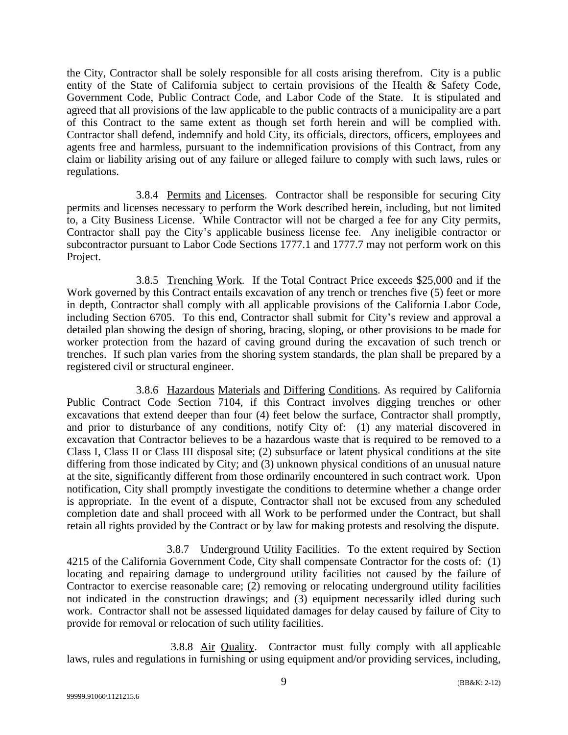the City, Contractor shall be solely responsible for all costs arising therefrom. City is a public entity of the State of California subject to certain provisions of the Health & Safety Code, Government Code, Public Contract Code, and Labor Code of the State. It is stipulated and agreed that all provisions of the law applicable to the public contracts of a municipality are a part of this Contract to the same extent as though set forth herein and will be complied with. Contractor shall defend, indemnify and hold City, its officials, directors, officers, employees and agents free and harmless, pursuant to the indemnification provisions of this Contract, from any claim or liability arising out of any failure or alleged failure to comply with such laws, rules or regulations.

3.8.4 Permits and Licenses. Contractor shall be responsible for securing City permits and licenses necessary to perform the Work described herein, including, but not limited to, a City Business License. While Contractor will not be charged a fee for any City permits, Contractor shall pay the City's applicable business license fee. Any ineligible contractor or subcontractor pursuant to Labor Code Sections 1777.1 and 1777.7 may not perform work on this Project.

3.8.5 Trenching Work. If the Total Contract Price exceeds \$25,000 and if the Work governed by this Contract entails excavation of any trench or trenches five (5) feet or more in depth, Contractor shall comply with all applicable provisions of the California Labor Code, including Section 6705. To this end, Contractor shall submit for City's review and approval a detailed plan showing the design of shoring, bracing, sloping, or other provisions to be made for worker protection from the hazard of caving ground during the excavation of such trench or trenches. If such plan varies from the shoring system standards, the plan shall be prepared by a registered civil or structural engineer.

3.8.6 Hazardous Materials and Differing Conditions. As required by California Public Contract Code Section 7104, if this Contract involves digging trenches or other excavations that extend deeper than four (4) feet below the surface, Contractor shall promptly, and prior to disturbance of any conditions, notify City of: (1) any material discovered in excavation that Contractor believes to be a hazardous waste that is required to be removed to a Class I, Class II or Class III disposal site; (2) subsurface or latent physical conditions at the site differing from those indicated by City; and (3) unknown physical conditions of an unusual nature at the site, significantly different from those ordinarily encountered in such contract work. Upon notification, City shall promptly investigate the conditions to determine whether a change order is appropriate. In the event of a dispute, Contractor shall not be excused from any scheduled completion date and shall proceed with all Work to be performed under the Contract, but shall retain all rights provided by the Contract or by law for making protests and resolving the dispute.

3.8.7 Underground Utility Facilities. To the extent required by Section 4215 of the California Government Code, City shall compensate Contractor for the costs of: (1) locating and repairing damage to underground utility facilities not caused by the failure of Contractor to exercise reasonable care; (2) removing or relocating underground utility facilities not indicated in the construction drawings; and (3) equipment necessarily idled during such work. Contractor shall not be assessed liquidated damages for delay caused by failure of City to provide for removal or relocation of such utility facilities.

3.8.8 Air Quality. Contractor must fully comply with all applicable laws, rules and regulations in furnishing or using equipment and/or providing services, including,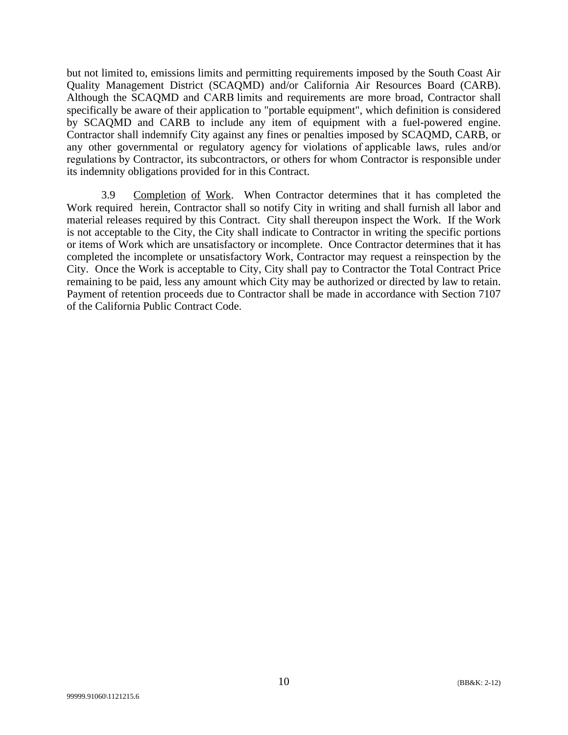but not limited to, emissions limits and permitting requirements imposed by the South Coast Air Quality Management District (SCAQMD) and/or California Air Resources Board (CARB). Although the SCAQMD and CARB limits and requirements are more broad, Contractor shall specifically be aware of their application to "portable equipment", which definition is considered by SCAQMD and CARB to include any item of equipment with a fuel-powered engine. Contractor shall indemnify City against any fines or penalties imposed by SCAQMD, CARB, or any other governmental or regulatory agency for violations of applicable laws, rules and/or regulations by Contractor, its subcontractors, or others for whom Contractor is responsible under its indemnity obligations provided for in this Contract.

3.9 Completion of Work. When Contractor determines that it has completed the Work required herein, Contractor shall so notify City in writing and shall furnish all labor and material releases required by this Contract. City shall thereupon inspect the Work. If the Work is not acceptable to the City, the City shall indicate to Contractor in writing the specific portions or items of Work which are unsatisfactory or incomplete. Once Contractor determines that it has completed the incomplete or unsatisfactory Work, Contractor may request a reinspection by the City. Once the Work is acceptable to City, City shall pay to Contractor the Total Contract Price remaining to be paid, less any amount which City may be authorized or directed by law to retain. Payment of retention proceeds due to Contractor shall be made in accordance with Section 7107 of the California Public Contract Code.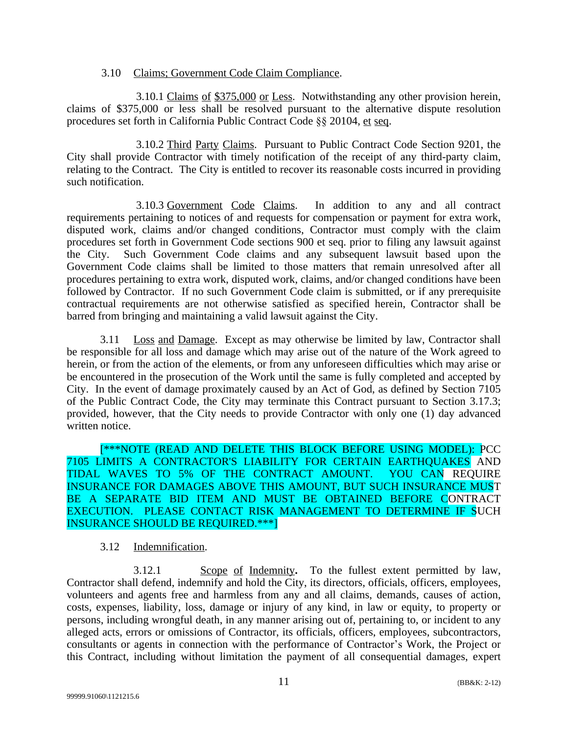#### 3.10 Claims; Government Code Claim Compliance.

3.10.1 Claims of \$375,000 or Less. Notwithstanding any other provision herein, claims of \$375,000 or less shall be resolved pursuant to the alternative dispute resolution procedures set forth in California Public Contract Code §§ 20104, et seq.

3.10.2 Third Party Claims. Pursuant to Public Contract Code Section 9201, the City shall provide Contractor with timely notification of the receipt of any third-party claim, relating to the Contract. The City is entitled to recover its reasonable costs incurred in providing such notification.

3.10.3 Government Code Claims. In addition to any and all contract requirements pertaining to notices of and requests for compensation or payment for extra work, disputed work, claims and/or changed conditions, Contractor must comply with the claim procedures set forth in Government Code sections 900 et seq. prior to filing any lawsuit against the City. Such Government Code claims and any subsequent lawsuit based upon the Government Code claims shall be limited to those matters that remain unresolved after all procedures pertaining to extra work, disputed work, claims, and/or changed conditions have been followed by Contractor. If no such Government Code claim is submitted, or if any prerequisite contractual requirements are not otherwise satisfied as specified herein, Contractor shall be barred from bringing and maintaining a valid lawsuit against the City.

3.11 Loss and Damage. Except as may otherwise be limited by law, Contractor shall be responsible for all loss and damage which may arise out of the nature of the Work agreed to herein, or from the action of the elements, or from any unforeseen difficulties which may arise or be encountered in the prosecution of the Work until the same is fully completed and accepted by City. In the event of damage proximately caused by an Act of God, as defined by Section 7105 of the Public Contract Code, the City may terminate this Contract pursuant to Section 3.17.3; provided, however, that the City needs to provide Contractor with only one (1) day advanced written notice.

[\*\*\*NOTE (READ AND DELETE THIS BLOCK BEFORE USING MODEL): PCC 7105 LIMITS A CONTRACTOR'S LIABILITY FOR CERTAIN EARTHQUAKES AND TIDAL WAVES TO 5% OF THE CONTRACT AMOUNT. YOU CAN REQUIRE INSURANCE FOR DAMAGES ABOVE THIS AMOUNT, BUT SUCH INSURANCE MUST BE A SEPARATE BID ITEM AND MUST BE OBTAINED BEFORE CONTRACT EXECUTION. PLEASE CONTACT RISK MANAGEMENT TO DETERMINE IF SUCH INSURANCE SHOULD BE REQUIRED.\*\*\*]

### 3.12 Indemnification.

3.12.1 Scope of Indemnity**.** To the fullest extent permitted by law, Contractor shall defend, indemnify and hold the City, its directors, officials, officers, employees, volunteers and agents free and harmless from any and all claims, demands, causes of action, costs, expenses, liability, loss, damage or injury of any kind, in law or equity, to property or persons, including wrongful death, in any manner arising out of, pertaining to, or incident to any alleged acts, errors or omissions of Contractor, its officials, officers, employees, subcontractors, consultants or agents in connection with the performance of Contractor's Work, the Project or this Contract, including without limitation the payment of all consequential damages, expert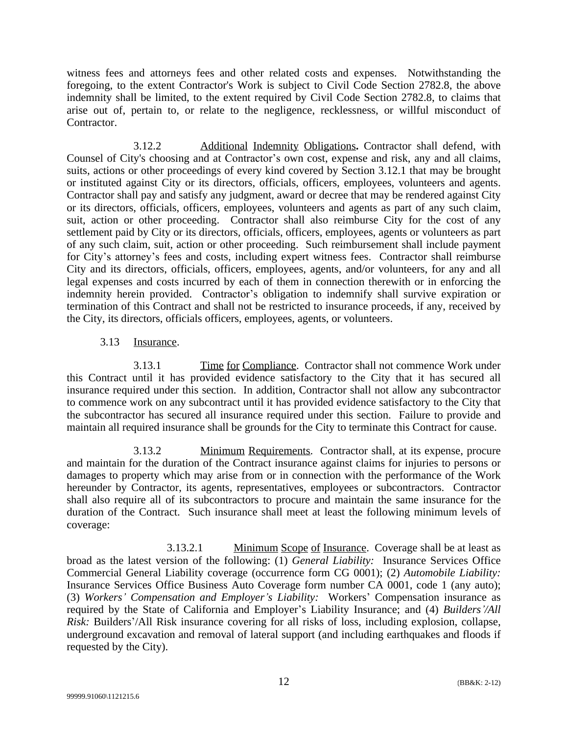witness fees and attorneys fees and other related costs and expenses. Notwithstanding the foregoing, to the extent Contractor's Work is subject to Civil Code Section 2782.8, the above indemnity shall be limited, to the extent required by Civil Code Section 2782.8, to claims that arise out of, pertain to, or relate to the negligence, recklessness, or willful misconduct of Contractor.

3.12.2 Additional Indemnity Obligations**.** Contractor shall defend, with Counsel of City's choosing and at Contractor's own cost, expense and risk, any and all claims, suits, actions or other proceedings of every kind covered by Section 3.12.1 that may be brought or instituted against City or its directors, officials, officers, employees, volunteers and agents. Contractor shall pay and satisfy any judgment, award or decree that may be rendered against City or its directors, officials, officers, employees, volunteers and agents as part of any such claim, suit, action or other proceeding. Contractor shall also reimburse City for the cost of any settlement paid by City or its directors, officials, officers, employees, agents or volunteers as part of any such claim, suit, action or other proceeding. Such reimbursement shall include payment for City's attorney's fees and costs, including expert witness fees. Contractor shall reimburse City and its directors, officials, officers, employees, agents, and/or volunteers, for any and all legal expenses and costs incurred by each of them in connection therewith or in enforcing the indemnity herein provided. Contractor's obligation to indemnify shall survive expiration or termination of this Contract and shall not be restricted to insurance proceeds, if any, received by the City, its directors, officials officers, employees, agents, or volunteers.

### 3.13 Insurance.

3.13.1 Time for Compliance. Contractor shall not commence Work under this Contract until it has provided evidence satisfactory to the City that it has secured all insurance required under this section. In addition, Contractor shall not allow any subcontractor to commence work on any subcontract until it has provided evidence satisfactory to the City that the subcontractor has secured all insurance required under this section. Failure to provide and maintain all required insurance shall be grounds for the City to terminate this Contract for cause.

3.13.2 Minimum Requirements. Contractor shall, at its expense, procure and maintain for the duration of the Contract insurance against claims for injuries to persons or damages to property which may arise from or in connection with the performance of the Work hereunder by Contractor, its agents, representatives, employees or subcontractors. Contractor shall also require all of its subcontractors to procure and maintain the same insurance for the duration of the Contract. Such insurance shall meet at least the following minimum levels of coverage:

3.13.2.1 Minimum Scope of Insurance. Coverage shall be at least as broad as the latest version of the following: (1) *General Liability:* Insurance Services Office Commercial General Liability coverage (occurrence form CG 0001); (2) *Automobile Liability:* Insurance Services Office Business Auto Coverage form number CA 0001, code 1 (any auto); (3) *Workers' Compensation and Employer's Liability:* Workers' Compensation insurance as required by the State of California and Employer's Liability Insurance; and (4) *Builders'/All Risk:* Builders'/All Risk insurance covering for all risks of loss, including explosion, collapse, underground excavation and removal of lateral support (and including earthquakes and floods if requested by the City).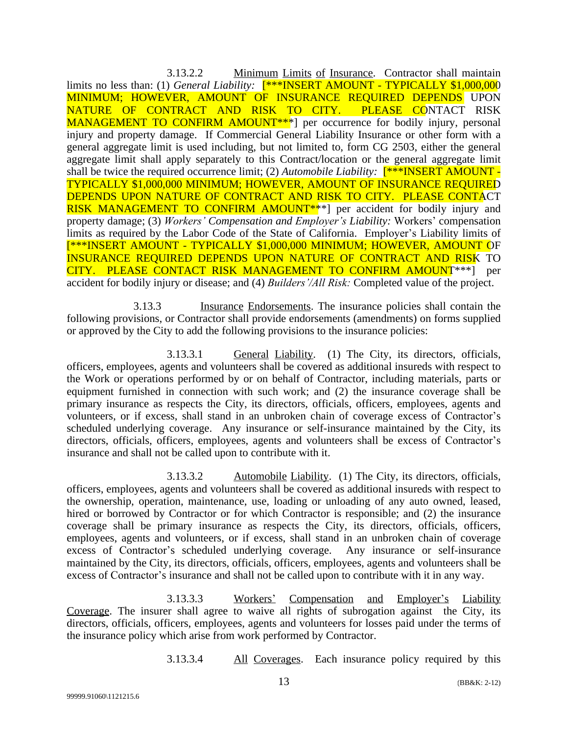3.13.2.2 Minimum Limits of Insurance. Contractor shall maintain limits no less than: (1) *General Liability*: **F**\*\*INSERT AMOUNT - TYPICALLY \$1,000,000 MINIMUM; HOWEVER, AMOUNT OF INSURANCE REQUIRED DEPENDS UPON NATURE OF CONTRACT AND RISK TO CITY. PLEASE CONTACT RISK MANAGEMENT TO CONFIRM AMOUNT<sup>\*\*</sup><sup>1</sup> per occurrence for bodily injury, personal injury and property damage. If Commercial General Liability Insurance or other form with a general aggregate limit is used including, but not limited to, form CG 2503, either the general aggregate limit shall apply separately to this Contract/location or the general aggregate limit shall be twice the required occurrence limit; (2) *Automobile Liability:* [\*\*\*INSERT AMOUNT - TYPICALLY \$1,000,000 MINIMUM; HOWEVER, AMOUNT OF INSURANCE REQUIRED DEPENDS UPON NATURE OF CONTRACT AND RISK TO CITY. PLEASE CONTACT RISK MANAGEMENT TO CONFIRM AMOUNT<sup>\*\*\*</sup>] per accident for bodily injury and property damage; (3) *Workers' Compensation and Employer's Liability:* Workers' compensation limits as required by the Labor Code of the State of California. Employer's Liability limits of [\*\*\*INSERT AMOUNT - TYPICALLY \$1,000,000 MINIMUM; HOWEVER, AMOUNT OF INSURANCE REQUIRED DEPENDS UPON NATURE OF CONTRACT AND RISK TO CITY. PLEASE CONTACT RISK MANAGEMENT TO CONFIRM AMOUNT\*\*\*] per accident for bodily injury or disease; and (4) *Builders'/All Risk:* Completed value of the project.

3.13.3 Insurance Endorsements. The insurance policies shall contain the following provisions, or Contractor shall provide endorsements (amendments) on forms supplied or approved by the City to add the following provisions to the insurance policies:

3.13.3.1 General Liability. (1) The City, its directors, officials, officers, employees, agents and volunteers shall be covered as additional insureds with respect to the Work or operations performed by or on behalf of Contractor, including materials, parts or equipment furnished in connection with such work; and (2) the insurance coverage shall be primary insurance as respects the City, its directors, officials, officers, employees, agents and volunteers, or if excess, shall stand in an unbroken chain of coverage excess of Contractor's scheduled underlying coverage. Any insurance or self-insurance maintained by the City, its directors, officials, officers, employees, agents and volunteers shall be excess of Contractor's insurance and shall not be called upon to contribute with it.

3.13.3.2 Automobile Liability. (1) The City, its directors, officials, officers, employees, agents and volunteers shall be covered as additional insureds with respect to the ownership, operation, maintenance, use, loading or unloading of any auto owned, leased, hired or borrowed by Contractor or for which Contractor is responsible; and (2) the insurance coverage shall be primary insurance as respects the City, its directors, officials, officers, employees, agents and volunteers, or if excess, shall stand in an unbroken chain of coverage excess of Contractor's scheduled underlying coverage. Any insurance or self-insurance maintained by the City, its directors, officials, officers, employees, agents and volunteers shall be excess of Contractor's insurance and shall not be called upon to contribute with it in any way.

3.13.3.3 Workers' Compensation and Employer's Liability Coverage. The insurer shall agree to waive all rights of subrogation against the City, its directors, officials, officers, employees, agents and volunteers for losses paid under the terms of the insurance policy which arise from work performed by Contractor.

3.13.3.4 All Coverages. Each insurance policy required by this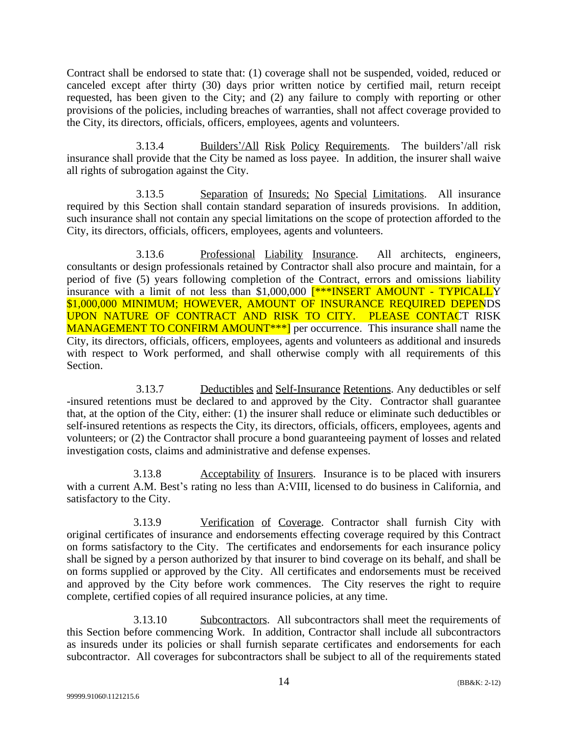Contract shall be endorsed to state that: (1) coverage shall not be suspended, voided, reduced or canceled except after thirty (30) days prior written notice by certified mail, return receipt requested, has been given to the City; and (2) any failure to comply with reporting or other provisions of the policies, including breaches of warranties, shall not affect coverage provided to the City, its directors, officials, officers, employees, agents and volunteers.

3.13.4 Builders'/All Risk Policy Requirements. The builders'/all risk insurance shall provide that the City be named as loss payee. In addition, the insurer shall waive all rights of subrogation against the City.

3.13.5 Separation of Insureds; No Special Limitations. All insurance required by this Section shall contain standard separation of insureds provisions. In addition, such insurance shall not contain any special limitations on the scope of protection afforded to the City, its directors, officials, officers, employees, agents and volunteers.

3.13.6 Professional Liability Insurance. All architects, engineers, consultants or design professionals retained by Contractor shall also procure and maintain, for a period of five (5) years following completion of the Contract, errors and omissions liability insurance with a limit of not less than \$1,000,000 [\*\*\*INSERT AMOUNT - TYPICALLY \$1,000,000 MINIMUM; HOWEVER, AMOUNT OF INSURANCE REQUIRED DEPENDS UPON NATURE OF CONTRACT AND RISK TO CITY. PLEASE CONTACT RISK MANAGEMENT TO CONFIRM AMOUNT<sup>\*\*\*</sup>] per occurrence. This insurance shall name the City, its directors, officials, officers, employees, agents and volunteers as additional and insureds with respect to Work performed, and shall otherwise comply with all requirements of this Section.

3.13.7 Deductibles and Self-Insurance Retentions. Any deductibles or self -insured retentions must be declared to and approved by the City. Contractor shall guarantee that, at the option of the City, either: (1) the insurer shall reduce or eliminate such deductibles or self-insured retentions as respects the City, its directors, officials, officers, employees, agents and volunteers; or (2) the Contractor shall procure a bond guaranteeing payment of losses and related investigation costs, claims and administrative and defense expenses.

3.13.8 Acceptability of Insurers. Insurance is to be placed with insurers with a current A.M. Best's rating no less than A:VIII, licensed to do business in California, and satisfactory to the City.

3.13.9 Verification of Coverage. Contractor shall furnish City with original certificates of insurance and endorsements effecting coverage required by this Contract on forms satisfactory to the City. The certificates and endorsements for each insurance policy shall be signed by a person authorized by that insurer to bind coverage on its behalf, and shall be on forms supplied or approved by the City. All certificates and endorsements must be received and approved by the City before work commences. The City reserves the right to require complete, certified copies of all required insurance policies, at any time.

3.13.10 Subcontractors. All subcontractors shall meet the requirements of this Section before commencing Work. In addition, Contractor shall include all subcontractors as insureds under its policies or shall furnish separate certificates and endorsements for each subcontractor. All coverages for subcontractors shall be subject to all of the requirements stated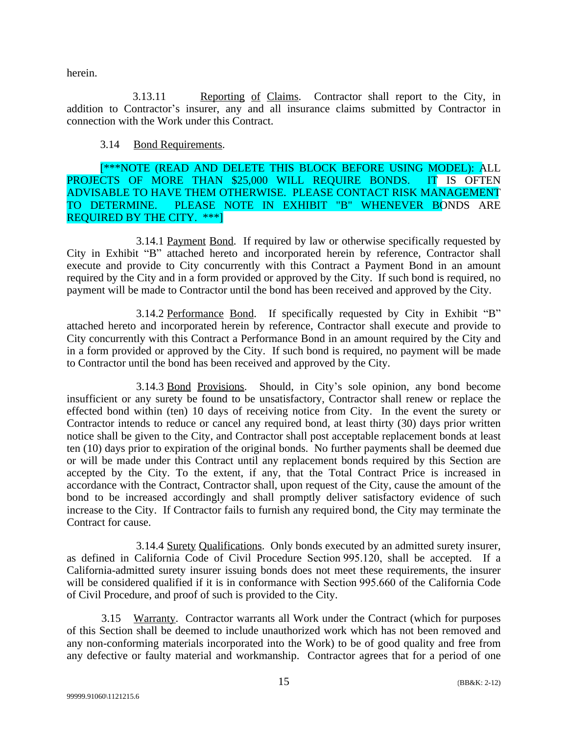herein.

3.13.11 Reporting of Claims. Contractor shall report to the City, in addition to Contractor's insurer, any and all insurance claims submitted by Contractor in connection with the Work under this Contract.

### 3.14 Bond Requirements.

[\*\*\*NOTE (READ AND DELETE THIS BLOCK BEFORE USING MODEL): ALL PROJECTS OF MORE THAN \$25,000 WILL REQUIRE BONDS. IT IS OFTEN ADVISABLE TO HAVE THEM OTHERWISE. PLEASE CONTACT RISK MANAGEMENT TO DETERMINE. PLEASE NOTE IN EXHIBIT "B" WHENEVER BONDS ARE PLEASE NOTE IN EXHIBIT "B" WHENEVER BONDS ARE REQUIRED BY THE CITY. \*\*\*]

3.14.1 Payment Bond. If required by law or otherwise specifically requested by City in Exhibit "B" attached hereto and incorporated herein by reference, Contractor shall execute and provide to City concurrently with this Contract a Payment Bond in an amount required by the City and in a form provided or approved by the City. If such bond is required, no payment will be made to Contractor until the bond has been received and approved by the City.

3.14.2 Performance Bond. If specifically requested by City in Exhibit "B" attached hereto and incorporated herein by reference, Contractor shall execute and provide to City concurrently with this Contract a Performance Bond in an amount required by the City and in a form provided or approved by the City. If such bond is required, no payment will be made to Contractor until the bond has been received and approved by the City.

3.14.3 Bond Provisions. Should, in City's sole opinion, any bond become insufficient or any surety be found to be unsatisfactory, Contractor shall renew or replace the effected bond within (ten) 10 days of receiving notice from City. In the event the surety or Contractor intends to reduce or cancel any required bond, at least thirty (30) days prior written notice shall be given to the City, and Contractor shall post acceptable replacement bonds at least ten (10) days prior to expiration of the original bonds. No further payments shall be deemed due or will be made under this Contract until any replacement bonds required by this Section are accepted by the City. To the extent, if any, that the Total Contract Price is increased in accordance with the Contract, Contractor shall, upon request of the City, cause the amount of the bond to be increased accordingly and shall promptly deliver satisfactory evidence of such increase to the City. If Contractor fails to furnish any required bond, the City may terminate the Contract for cause.

3.14.4 Surety Qualifications. Only bonds executed by an admitted surety insurer, as defined in California Code of Civil Procedure Section 995.120, shall be accepted. If a California-admitted surety insurer issuing bonds does not meet these requirements, the insurer will be considered qualified if it is in conformance with Section 995.660 of the California Code of Civil Procedure, and proof of such is provided to the City.

3.15 Warranty. Contractor warrants all Work under the Contract (which for purposes of this Section shall be deemed to include unauthorized work which has not been removed and any non-conforming materials incorporated into the Work) to be of good quality and free from any defective or faulty material and workmanship. Contractor agrees that for a period of one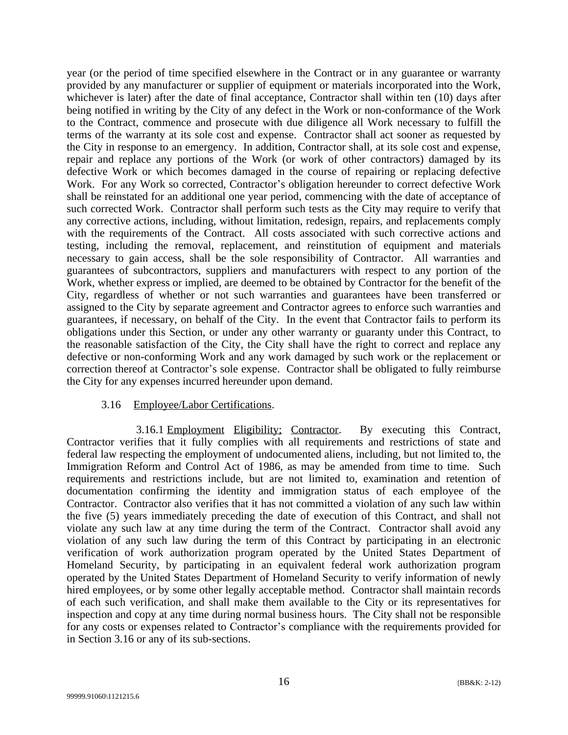year (or the period of time specified elsewhere in the Contract or in any guarantee or warranty provided by any manufacturer or supplier of equipment or materials incorporated into the Work, whichever is later) after the date of final acceptance, Contractor shall within ten (10) days after being notified in writing by the City of any defect in the Work or non-conformance of the Work to the Contract, commence and prosecute with due diligence all Work necessary to fulfill the terms of the warranty at its sole cost and expense. Contractor shall act sooner as requested by the City in response to an emergency. In addition, Contractor shall, at its sole cost and expense, repair and replace any portions of the Work (or work of other contractors) damaged by its defective Work or which becomes damaged in the course of repairing or replacing defective Work. For any Work so corrected, Contractor's obligation hereunder to correct defective Work shall be reinstated for an additional one year period, commencing with the date of acceptance of such corrected Work. Contractor shall perform such tests as the City may require to verify that any corrective actions, including, without limitation, redesign, repairs, and replacements comply with the requirements of the Contract. All costs associated with such corrective actions and testing, including the removal, replacement, and reinstitution of equipment and materials necessary to gain access, shall be the sole responsibility of Contractor. All warranties and guarantees of subcontractors, suppliers and manufacturers with respect to any portion of the Work, whether express or implied, are deemed to be obtained by Contractor for the benefit of the City, regardless of whether or not such warranties and guarantees have been transferred or assigned to the City by separate agreement and Contractor agrees to enforce such warranties and guarantees, if necessary, on behalf of the City. In the event that Contractor fails to perform its obligations under this Section, or under any other warranty or guaranty under this Contract, to the reasonable satisfaction of the City, the City shall have the right to correct and replace any defective or non-conforming Work and any work damaged by such work or the replacement or correction thereof at Contractor's sole expense. Contractor shall be obligated to fully reimburse the City for any expenses incurred hereunder upon demand.

#### 3.16 Employee/Labor Certifications.

3.16.1 Employment Eligibility; Contractor. By executing this Contract, Contractor verifies that it fully complies with all requirements and restrictions of state and federal law respecting the employment of undocumented aliens, including, but not limited to, the Immigration Reform and Control Act of 1986, as may be amended from time to time. Such requirements and restrictions include, but are not limited to, examination and retention of documentation confirming the identity and immigration status of each employee of the Contractor. Contractor also verifies that it has not committed a violation of any such law within the five (5) years immediately preceding the date of execution of this Contract, and shall not violate any such law at any time during the term of the Contract. Contractor shall avoid any violation of any such law during the term of this Contract by participating in an electronic verification of work authorization program operated by the United States Department of Homeland Security, by participating in an equivalent federal work authorization program operated by the United States Department of Homeland Security to verify information of newly hired employees, or by some other legally acceptable method. Contractor shall maintain records of each such verification, and shall make them available to the City or its representatives for inspection and copy at any time during normal business hours. The City shall not be responsible for any costs or expenses related to Contractor's compliance with the requirements provided for in Section 3.16 or any of its sub-sections.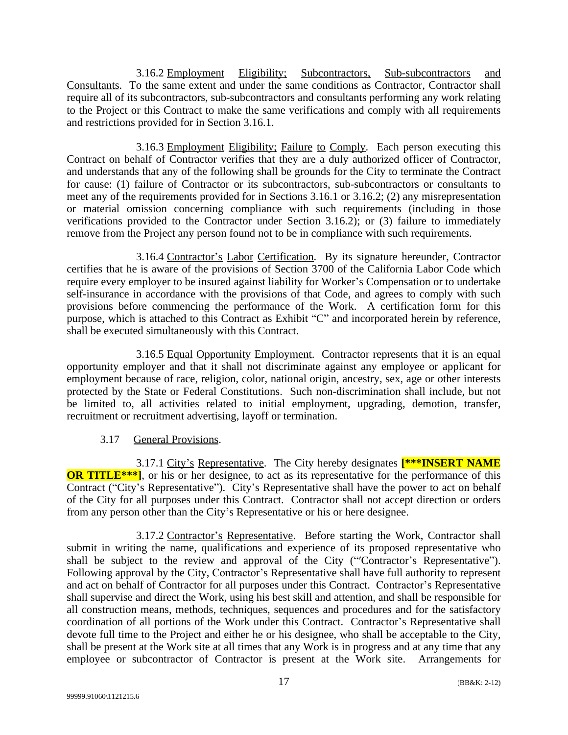3.16.2 Employment Eligibility; Subcontractors, Sub-subcontractors and Consultants. To the same extent and under the same conditions as Contractor, Contractor shall require all of its subcontractors, sub-subcontractors and consultants performing any work relating to the Project or this Contract to make the same verifications and comply with all requirements and restrictions provided for in Section 3.16.1.

3.16.3 Employment Eligibility; Failure to Comply. Each person executing this Contract on behalf of Contractor verifies that they are a duly authorized officer of Contractor, and understands that any of the following shall be grounds for the City to terminate the Contract for cause: (1) failure of Contractor or its subcontractors, sub-subcontractors or consultants to meet any of the requirements provided for in Sections 3.16.1 or 3.16.2; (2) any misrepresentation or material omission concerning compliance with such requirements (including in those verifications provided to the Contractor under Section 3.16.2); or (3) failure to immediately remove from the Project any person found not to be in compliance with such requirements.

3.16.4 Contractor's Labor Certification. By its signature hereunder, Contractor certifies that he is aware of the provisions of Section 3700 of the California Labor Code which require every employer to be insured against liability for Worker's Compensation or to undertake self-insurance in accordance with the provisions of that Code, and agrees to comply with such provisions before commencing the performance of the Work. A certification form for this purpose, which is attached to this Contract as Exhibit "C" and incorporated herein by reference, shall be executed simultaneously with this Contract.

3.16.5 Equal Opportunity Employment. Contractor represents that it is an equal opportunity employer and that it shall not discriminate against any employee or applicant for employment because of race, religion, color, national origin, ancestry, sex, age or other interests protected by the State or Federal Constitutions. Such non-discrimination shall include, but not be limited to, all activities related to initial employment, upgrading, demotion, transfer, recruitment or recruitment advertising, layoff or termination.

# 3.17 General Provisions.

3.17.1 City's Representative. The City hereby designates **[\*\*\*INSERT NAME OR TITLE\*\*\***], or his or her designee, to act as its representative for the performance of this Contract ("City's Representative"). City's Representative shall have the power to act on behalf of the City for all purposes under this Contract. Contractor shall not accept direction or orders from any person other than the City's Representative or his or here designee.

3.17.2 Contractor's Representative. Before starting the Work, Contractor shall submit in writing the name, qualifications and experience of its proposed representative who shall be subject to the review and approval of the City ("′Contractor's Representative"). Following approval by the City, Contractor's Representative shall have full authority to represent and act on behalf of Contractor for all purposes under this Contract. Contractor's Representative shall supervise and direct the Work, using his best skill and attention, and shall be responsible for all construction means, methods, techniques, sequences and procedures and for the satisfactory coordination of all portions of the Work under this Contract. Contractor's Representative shall devote full time to the Project and either he or his designee, who shall be acceptable to the City, shall be present at the Work site at all times that any Work is in progress and at any time that any employee or subcontractor of Contractor is present at the Work site. Arrangements for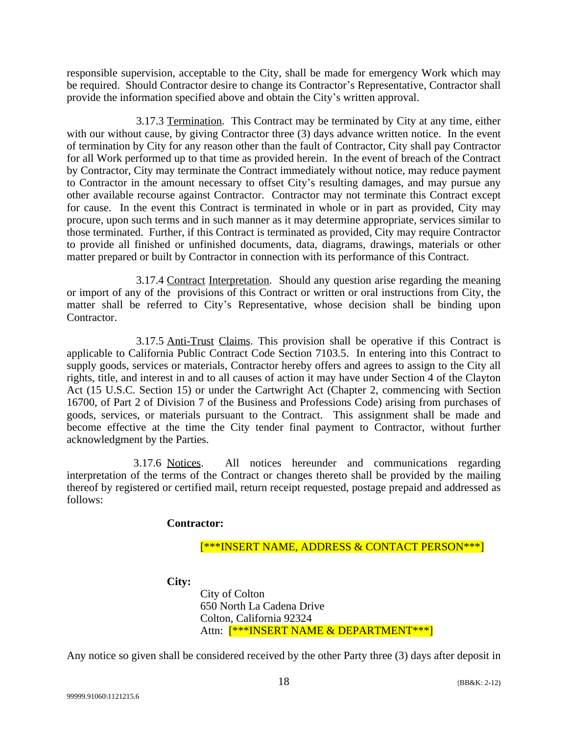responsible supervision, acceptable to the City, shall be made for emergency Work which may be required. Should Contractor desire to change its Contractor's Representative, Contractor shall provide the information specified above and obtain the City's written approval.

3.17.3 Termination. This Contract may be terminated by City at any time, either with our without cause, by giving Contractor three (3) days advance written notice. In the event of termination by City for any reason other than the fault of Contractor, City shall pay Contractor for all Work performed up to that time as provided herein. In the event of breach of the Contract by Contractor, City may terminate the Contract immediately without notice, may reduce payment to Contractor in the amount necessary to offset City's resulting damages, and may pursue any other available recourse against Contractor. Contractor may not terminate this Contract except for cause. In the event this Contract is terminated in whole or in part as provided, City may procure, upon such terms and in such manner as it may determine appropriate, services similar to those terminated. Further, if this Contract is terminated as provided, City may require Contractor to provide all finished or unfinished documents, data, diagrams, drawings, materials or other matter prepared or built by Contractor in connection with its performance of this Contract.

3.17.4 Contract Interpretation. Should any question arise regarding the meaning or import of any of the provisions of this Contract or written or oral instructions from City, the matter shall be referred to City's Representative, whose decision shall be binding upon Contractor.

3.17.5 Anti-Trust Claims. This provision shall be operative if this Contract is applicable to California Public Contract Code Section 7103.5. In entering into this Contract to supply goods, services or materials, Contractor hereby offers and agrees to assign to the City all rights, title, and interest in and to all causes of action it may have under Section 4 of the Clayton Act (15 U.S.C. Section 15) or under the Cartwright Act (Chapter 2, commencing with Section 16700, of Part 2 of Division 7 of the Business and Professions Code) arising from purchases of goods, services, or materials pursuant to the Contract. This assignment shall be made and become effective at the time the City tender final payment to Contractor, without further acknowledgment by the Parties.

3.17.6 Notices. All notices hereunder and communications regarding interpretation of the terms of the Contract or changes thereto shall be provided by the mailing thereof by registered or certified mail, return receipt requested, postage prepaid and addressed as follows:

### **Contractor:**

[\*\*\*INSERT NAME, ADDRESS & CONTACT PERSON\*\*\*]

**City:**

City of Colton 650 North La Cadena Drive Colton, California 92324 Attn: [\*\*\*INSERT NAME & DEPARTMENT\*\*\*]

Any notice so given shall be considered received by the other Party three (3) days after deposit in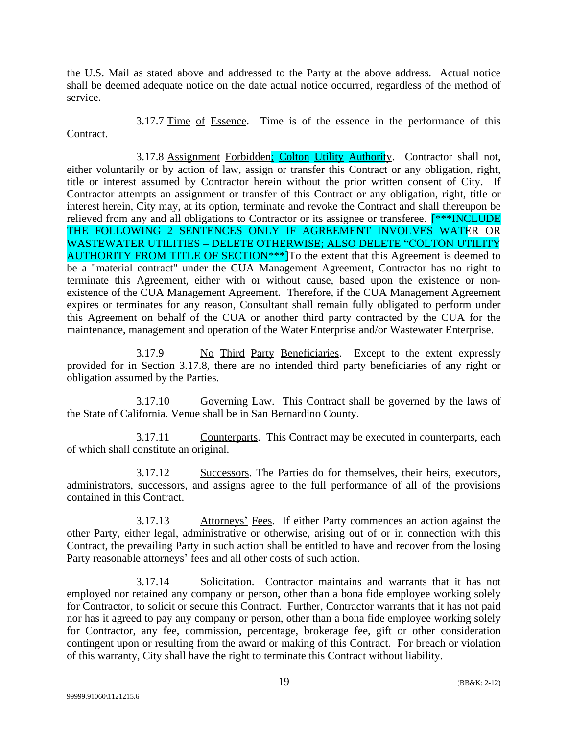the U.S. Mail as stated above and addressed to the Party at the above address. Actual notice shall be deemed adequate notice on the date actual notice occurred, regardless of the method of service.

3.17.7 Time of Essence. Time is of the essence in the performance of this Contract.

3.17.8 Assignment Forbidden; Colton Utility Authority. Contractor shall not, either voluntarily or by action of law, assign or transfer this Contract or any obligation, right, title or interest assumed by Contractor herein without the prior written consent of City. If Contractor attempts an assignment or transfer of this Contract or any obligation, right, title or interest herein, City may, at its option, terminate and revoke the Contract and shall thereupon be relieved from any and all obligations to Contractor or its assignee or transferee. [\*\*\*INCLUDE THE FOLLOWING 2 SENTENCES ONLY IF AGREEMENT INVOLVES WATER OR WASTEWATER UTILITIES – DELETE OTHERWISE; ALSO DELETE "COLTON UTILITY AUTHORITY FROM TITLE OF SECTION<sup>\*\*\*</sup>]To the extent that this Agreement is deemed to be a "material contract" under the CUA Management Agreement, Contractor has no right to terminate this Agreement, either with or without cause, based upon the existence or nonexistence of the CUA Management Agreement. Therefore, if the CUA Management Agreement expires or terminates for any reason, Consultant shall remain fully obligated to perform under this Agreement on behalf of the CUA or another third party contracted by the CUA for the maintenance, management and operation of the Water Enterprise and/or Wastewater Enterprise.

3.17.9 No Third Party Beneficiaries. Except to the extent expressly provided for in Section 3.17.8, there are no intended third party beneficiaries of any right or obligation assumed by the Parties.

3.17.10 Governing Law. This Contract shall be governed by the laws of the State of California. Venue shall be in San Bernardino County.

3.17.11 Counterparts. This Contract may be executed in counterparts, each of which shall constitute an original.

3.17.12 Successors. The Parties do for themselves, their heirs, executors, administrators, successors, and assigns agree to the full performance of all of the provisions contained in this Contract.

3.17.13 Attorneys' Fees. If either Party commences an action against the other Party, either legal, administrative or otherwise, arising out of or in connection with this Contract, the prevailing Party in such action shall be entitled to have and recover from the losing Party reasonable attorneys' fees and all other costs of such action.

3.17.14 Solicitation. Contractor maintains and warrants that it has not employed nor retained any company or person, other than a bona fide employee working solely for Contractor, to solicit or secure this Contract. Further, Contractor warrants that it has not paid nor has it agreed to pay any company or person, other than a bona fide employee working solely for Contractor, any fee, commission, percentage, brokerage fee, gift or other consideration contingent upon or resulting from the award or making of this Contract. For breach or violation of this warranty, City shall have the right to terminate this Contract without liability.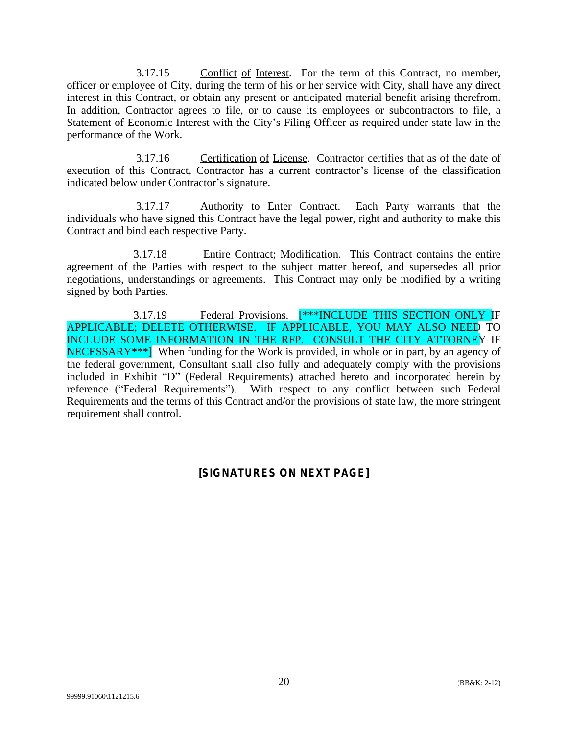3.17.15 Conflict of Interest. For the term of this Contract, no member, officer or employee of City, during the term of his or her service with City, shall have any direct interest in this Contract, or obtain any present or anticipated material benefit arising therefrom. In addition, Contractor agrees to file, or to cause its employees or subcontractors to file, a Statement of Economic Interest with the City's Filing Officer as required under state law in the performance of the Work.

3.17.16 Certification of License. Contractor certifies that as of the date of execution of this Contract, Contractor has a current contractor's license of the classification indicated below under Contractor's signature.

3.17.17 Authority to Enter Contract. Each Party warrants that the individuals who have signed this Contract have the legal power, right and authority to make this Contract and bind each respective Party.

3.17.18 Entire Contract; Modification. This Contract contains the entire agreement of the Parties with respect to the subject matter hereof, and supersedes all prior negotiations, understandings or agreements. This Contract may only be modified by a writing signed by both Parties.

3.17.19 Federal Provisions. [\*\*\*INCLUDE THIS SECTION ONLY IF APPLICABLE; DELETE OTHERWISE. IF APPLICABLE, YOU MAY ALSO NEED TO INCLUDE SOME INFORMATION IN THE RFP. CONSULT THE CITY ATTORNEY IF NECESSARY<sup>\*\*\*</sup>] When funding for the Work is provided, in whole or in part, by an agency of the federal government, Consultant shall also fully and adequately comply with the provisions included in Exhibit "D" (Federal Requirements) attached hereto and incorporated herein by reference ("Federal Requirements"). With respect to any conflict between such Federal Requirements and the terms of this Contract and/or the provisions of state law, the more stringent requirement shall control.

# **[SIGNATURES ON NEXT PAGE]**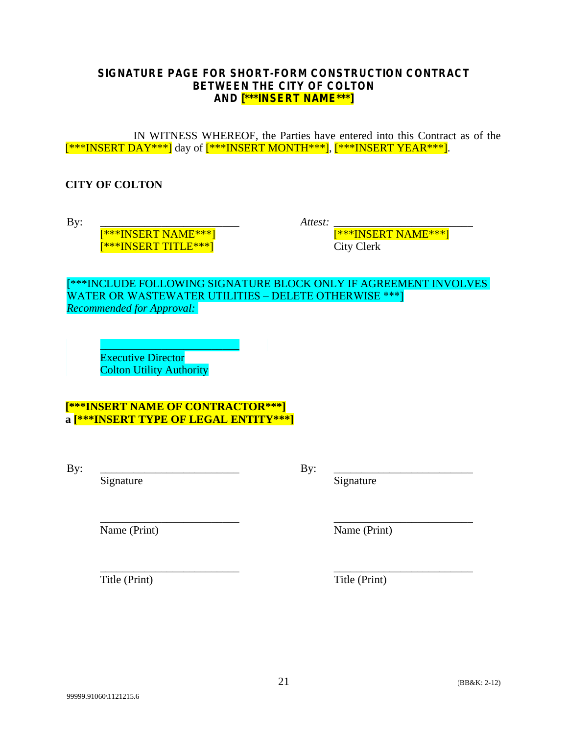### **SIGNATURE PAGE FOR SHORT-FORM CONSTRUCTION CONTRACT BETWEEN THE CITY OF COLTON AND [\*\*\*INSERT NAME\*\*\*]**

IN WITNESS WHEREOF, the Parties have entered into this Contract as of the  ${\frac{{**}{K}}{\text{INSERT}} \text{DAY***}}$  day of  ${\frac{{**}{K}}{\text{INSERT}} \text{MONTH***}}$ ,  ${\frac{{**}{K}}{\text{INSERT}} \text{YEAR***}}$ .

# **CITY OF COLTON**

By: \_\_\_\_\_\_\_\_\_\_\_\_\_\_\_\_\_\_\_\_\_\_\_\_\_ [\*\*\*INSERT NAME\*\*\*] [\*\*\*INSERT TITLE\*\*\*]

*Attest:* 

[\*\*\*INSERT NAME\*\*\*] City Clerk

[\*\*\*INCLUDE FOLLOWING SIGNATURE BLOCK ONLY IF AGREEMENT INVOLVES WATER OR WASTEWATER UTILITIES – DELETE OTHERWISE \*\*\*] *Recommended for Approval:*

 $\mathcal{L}=\mathcal{L}=\mathcal{L}=\mathcal{L}=\mathcal{L}=\mathcal{L}=\mathcal{L}=\mathcal{L}=\mathcal{L}=\mathcal{L}=\mathcal{L}=\mathcal{L}=\mathcal{L}=\mathcal{L}=\mathcal{L}=\mathcal{L}=\mathcal{L}=\mathcal{L}=\mathcal{L}=\mathcal{L}=\mathcal{L}=\mathcal{L}=\mathcal{L}=\mathcal{L}=\mathcal{L}=\mathcal{L}=\mathcal{L}=\mathcal{L}=\mathcal{L}=\mathcal{L}=\mathcal{L}=\mathcal{L}=\mathcal{L}=\mathcal{L}=\mathcal{L}=\mathcal{L}=\mathcal{$ Executive Director Colton Utility Authority

# **[\*\*\*INSERT NAME OF CONTRACTOR\*\*\*] a [\*\*\*INSERT TYPE OF LEGAL ENTITY\*\*\*]**

By: \_\_\_\_\_\_\_\_\_\_\_\_\_\_\_\_\_\_\_\_\_\_\_\_\_

Signature

By: \_\_\_\_\_\_\_\_\_\_\_\_\_\_\_\_\_\_\_\_\_\_\_\_\_

Signature

\_\_\_\_\_\_\_\_\_\_\_\_\_\_\_\_\_\_\_\_\_\_\_\_\_ Name (Print)

\_\_\_\_\_\_\_\_\_\_\_\_\_\_\_\_\_\_\_\_\_\_\_\_\_ Name (Print)

\_\_\_\_\_\_\_\_\_\_\_\_\_\_\_\_\_\_\_\_\_\_\_\_\_ Title (Print)

\_\_\_\_\_\_\_\_\_\_\_\_\_\_\_\_\_\_\_\_\_\_\_\_\_ Title (Print)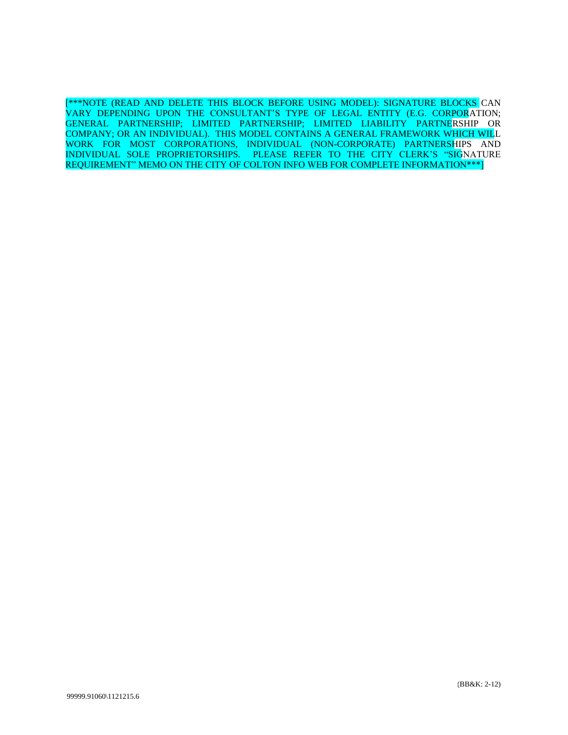[\*\*\*NOTE (READ AND DELETE THIS BLOCK BEFORE USING MODEL): SIGNATURE BLOCKS CAN VARY DEPENDING UPON THE CONSULTANT'S TYPE OF LEGAL ENTITY (E.G. CORPORATION; GENERAL PARTNERSHIP; LIMITED PARTNERSHIP; LIMITED LIABILITY PARTNERSHIP OR COMPANY; OR AN INDIVIDUAL). THIS MODEL CONTAINS A GENERAL FRAMEWORK WHICH WILL WORK FOR MOST CORPORATIONS, INDIVIDUAL (NON-CORPORATE) PARTNERSHIPS AND INDIVIDUAL SOLE PROPRIETORSHIPS. PLEASE REFER TO THE CITY CLERK'S "SIGNATURE REQUIREMENT" MEMO ON THE CITY OF COLTON INFO WEB FOR COMPLETE INFORMATION\*\*\*]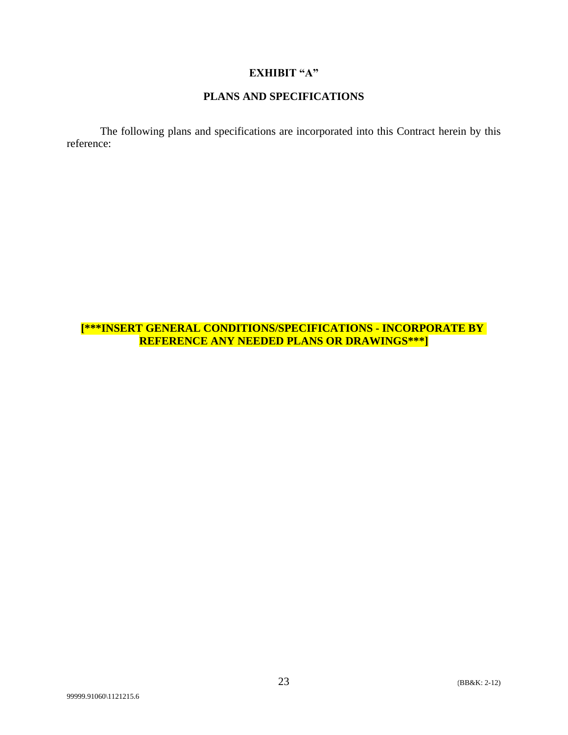# **EXHIBIT "A"**

#### **PLANS AND SPECIFICATIONS**

The following plans and specifications are incorporated into this Contract herein by this reference:

# **[\*\*\*INSERT GENERAL CONDITIONS/SPECIFICATIONS - INCORPORATE BY REFERENCE ANY NEEDED PLANS OR DRAWINGS\*\*\*]**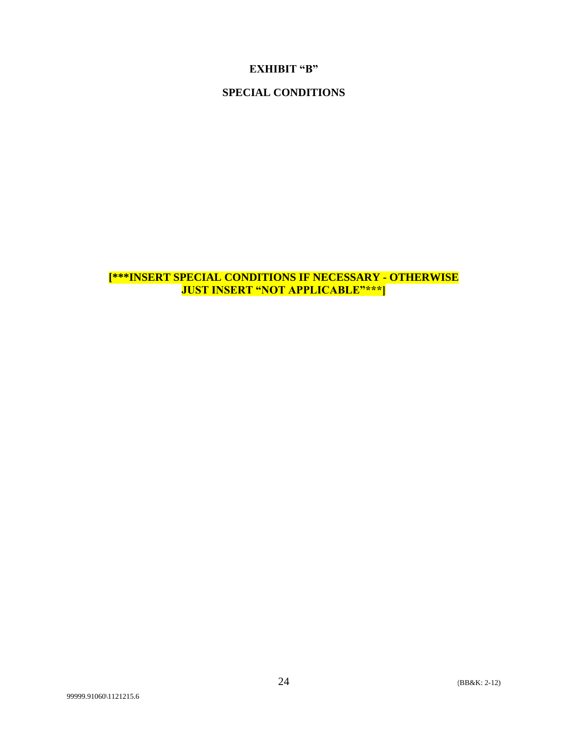### **EXHIBIT "B"**

# **SPECIAL CONDITIONS**

**[\*\*\*INSERT SPECIAL CONDITIONS IF NECESSARY - OTHERWISE JUST INSERT "NOT APPLICABLE"\*\*\*]**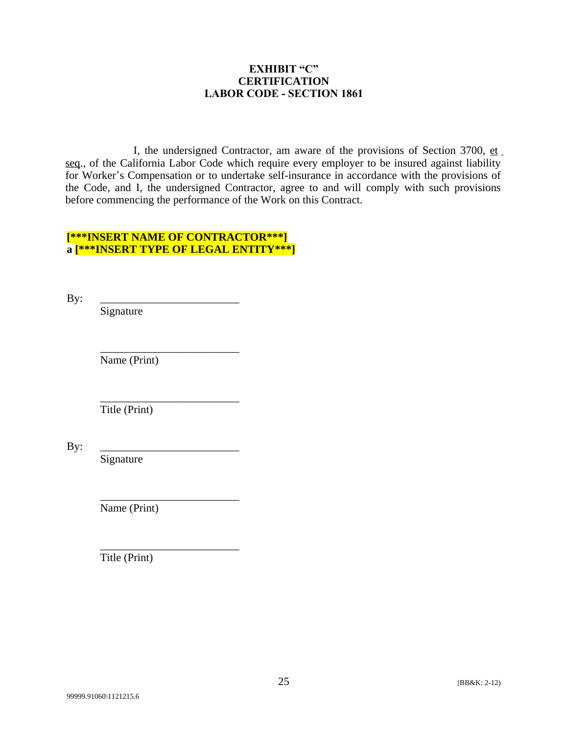### **EXHIBIT "C" CERTIFICATION LABOR CODE - SECTION 1861**

I, the undersigned Contractor, am aware of the provisions of Section 3700, et seq., of the California Labor Code which require every employer to be insured against liability for Worker's Compensation or to undertake self-insurance in accordance with the provisions of the Code, and I, the undersigned Contractor, agree to and will comply with such provisions before commencing the performance of the Work on this Contract.

# **[\*\*\*INSERT NAME OF CONTRACTOR\*\*\*] a [\*\*\*INSERT TYPE OF LEGAL ENTITY\*\*\*]**

| By: | Signature     |
|-----|---------------|
|     | Name (Print)  |
|     | Title (Print) |
| By: | Signature     |
|     | Name (Print)  |

\_\_\_\_\_\_\_\_\_\_\_\_\_\_\_\_\_\_\_\_\_\_\_\_\_

Title (Print)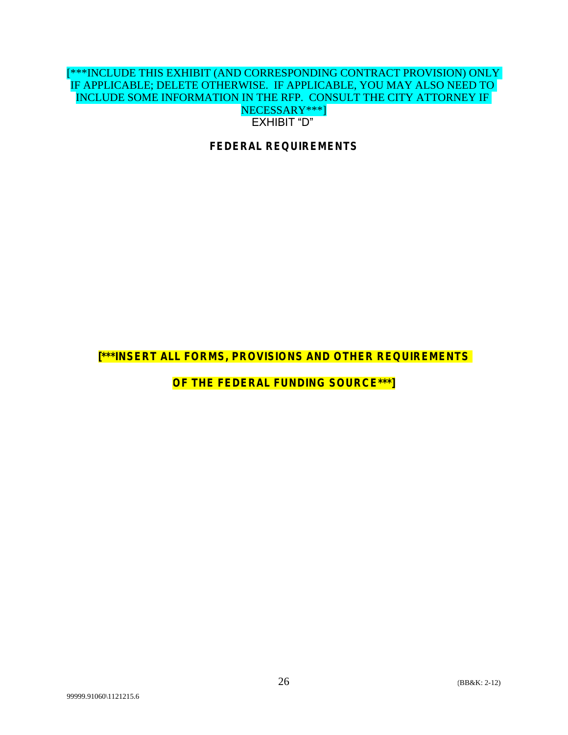### [\*\*\*INCLUDE THIS EXHIBIT (AND CORRESPONDING CONTRACT PROVISION) ONLY IF APPLICABLE; DELETE OTHERWISE. IF APPLICABLE, YOU MAY ALSO NEED TO INCLUDE SOME INFORMATION IN THE RFP. CONSULT THE CITY ATTORNEY IF NECESSARY\*\*\*] EXHIBIT "D"

**FEDERAL REQUIREMENTS**

**[\*\*\*INSERT ALL FORMS, PROVISIONS AND OTHER REQUIREMENTS** 

**OF THE FEDERAL FUNDING SOURCE\*\*\*]**